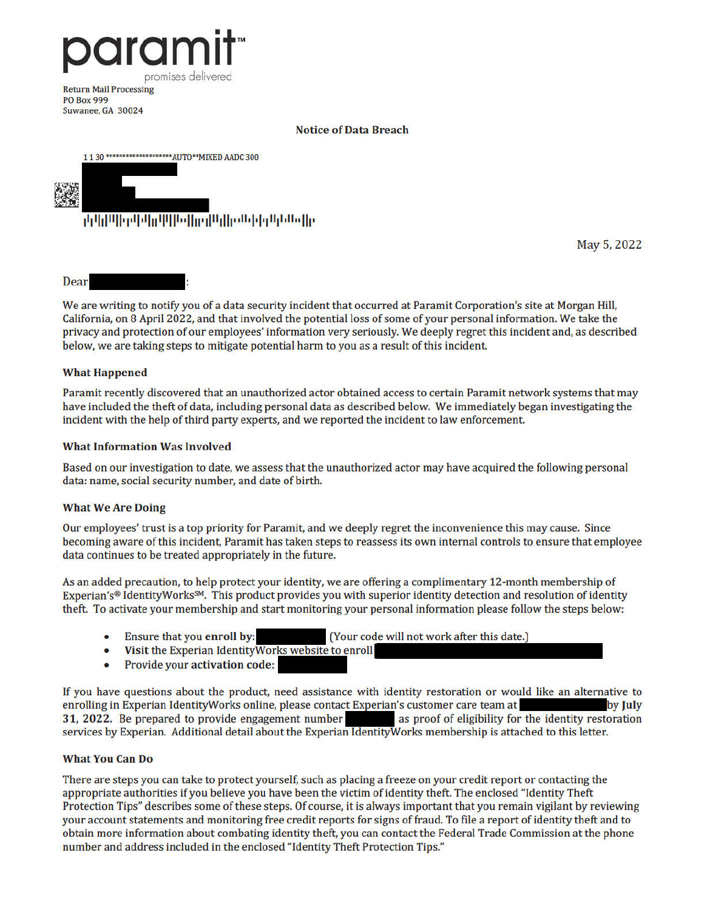

Suwanee, GA 30024

#### **Notice of Data Breach**



May 5, 2022

Dear

We are writing to notify you of a data security incident that occurred at Paramit Corporation's site at Morgan Hill, California, on 8 April 2022, and that involved the potential loss of some of your personal information. We take the privacy and protection of our employees' information very seriously. We deeply regret this incident and, as described below, we are taking steps to mitigate potential harm to you as a result of this incident.

## **What Happened**

Paramit recently discovered that an unauthorized actor obtained access to certain Paramit network systems that may have included the theft of data, including personal data as described below. We immediately began investigating the incident with the help of third party experts, and we reported the incident to law enforcement.

#### **What Information Was Involved**

Based on our investigation to date, we assess that the unauthorized actor may have acquired the following personal data: name, social security number, and date of birth.

### **What We Are Doing**

Our employees' trust is a top priority for Paramit, and we deeply regret the inconvenience this may cause. Since becoming aware of this incident, Paramit has taken steps to reassess its own internal controls to ensure that employee data continues to be treated appropriately in the future.

As an added precaution, to help protect your identity, we are offering a complimentary 12-month membership of Experian's® IdentityWorks<sup>SM</sup>. This product provides you with superior identity detection and resolution of identity theft. To activate your membership and start monitoring your personal information please follow the steps below:

- Ensure that you enroll by: (Your code will not work after this date.)
- $\bullet$ Visit the Experian Identity Works website to enroll
- Provide your activation code:

If you have questions about the product, need assistance with identity restoration or would like an alternative to enrolling in Experian IdentityWorks online, please contact Experian's customer care team at by July 31, 2022. Be prepared to provide engagement number as proof of eligibility for the identity restoration services by Experian. Additional detail about the Experian Identity Works membership is attached to this letter.

### **What You Can Do**

There are steps you can take to protect yourself, such as placing a freeze on your credit report or contacting the appropriate authorities if you believe you have been the victim of identity theft. The enclosed "Identity Theft Protection Tips" describes some of these steps. Of course, it is always important that you remain vigilant by reviewing your account statements and monitoring free credit reports for signs of fraud. To file a report of identity theft and to obtain more information about combating identity theft, you can contact the Federal Trade Commission at the phone number and address included in the enclosed "Identity Theft Protection Tips."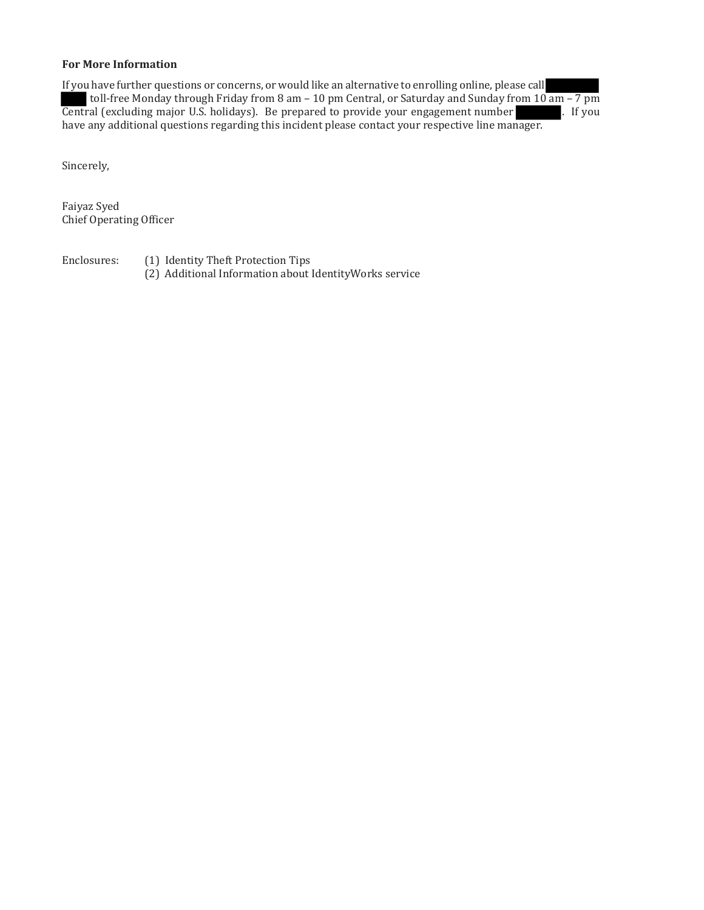## **For More Information**

If you have further questions or concerns, or would like an alternative to enrolling online, please call toll-free Monday through Friday from 8 am – 10 pm Central, or Saturday and Sunday from 10 am – 7 pm Central (excluding major U.S. holidays). Be prepared to provide your engagement number . If you have any additional questions regarding this incident please contact your respective line manager.

Sincerely,

Faiyaz Syed Chief Operating Officer

Enclosures: (1) Identity Theft Protection Tips (2) Additional Information about IdentityWorks service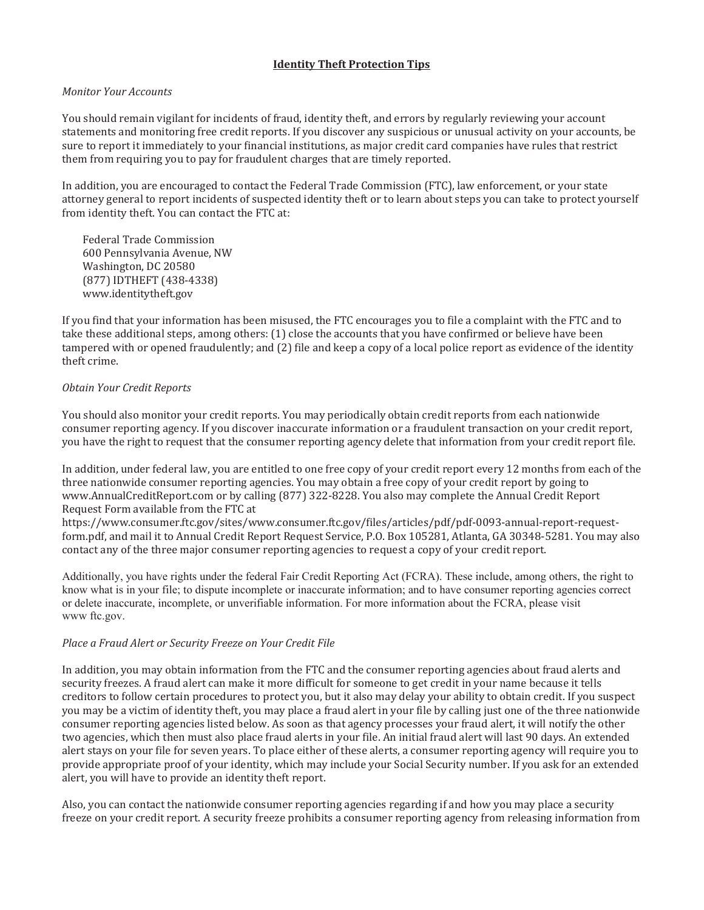## **Identity Theft Protection Tips**

### *Monitor Your Accounts*

You should remain vigilant for incidents of fraud, identity theft, and errors by regularly reviewing your account statements and monitoring free credit reports. If you discover any suspicious or unusual activity on your accounts, be sure to report it immediately to your financial institutions, as major credit card companies have rules that restrict them from requiring you to pay for fraudulent charges that are timely reported.

In addition, you are encouraged to contact the Federal Trade Commission (FTC), law enforcement, or your state attorney general to report incidents of suspected identity theft or to learn about steps you can take to protect yourself from identity theft. You can contact the FTC at:

Federal Trade Commission 600 Pennsylvania Avenue, NW Washington, DC 20580 (877) IDTHEFT (438-4338) www.identitytheft.gov

If you find that your information has been misused, the FTC encourages you to file a complaint with the FTC and to take these additional steps, among others: (1) close the accounts that you have confirmed or believe have been tampered with or opened fraudulently; and (2) file and keep a copy of a local police report as evidence of the identity theft crime.

### *Obtain Your Credit Reports*

You should also monitor your credit reports. You may periodically obtain credit reports from each nationwide consumer reporting agency. If you discover inaccurate information or a fraudulent transaction on your credit report, you have the right to request that the consumer reporting agency delete that information from your credit report file.

In addition, under federal law, you are entitled to one free copy of your credit report every 12 months from each of the three nationwide consumer reporting agencies. You may obtain a free copy of your credit report by going to www.AnnualCreditReport.com or by calling (877) 322-8228. You also may complete the Annual Credit Report Request Form available from the FTC at

https://www.consumer.ftc.gov/sites/www.consumer.ftc.gov/files/articles/pdf/pdf-0093-annual-report-requestform.pdf, and mail it to Annual Credit Report Request Service, P.O. Box 105281, Atlanta, GA 30348-5281. You may also contact any of the three major consumer reporting agencies to request a copy of your credit report.

Additionally, you have rights under the federal Fair Credit Reporting Act (FCRA). These include, among others, the right to know what is in your file; to dispute incomplete or inaccurate information; and to have consumer reporting agencies correct or delete inaccurate, incomplete, or unverifiable information. For more information about the FCRA, please visit www ftc.gov.

### *Place a Fraud Alert or Security Freeze on Your Credit File*

In addition, you may obtain information from the FTC and the consumer reporting agencies about fraud alerts and security freezes. A fraud alert can make it more difficult for someone to get credit in your name because it tells creditors to follow certain procedures to protect you, but it also may delay your ability to obtain credit. If you suspect you may be a victim of identity theft, you may place a fraud alert in your file by calling just one of the three nationwide consumer reporting agencies listed below. As soon as that agency processes your fraud alert, it will notify the other two agencies, which then must also place fraud alerts in your file. An initial fraud alert will last 90 days. An extended alert stays on your file for seven years. To place either of these alerts, a consumer reporting agency will require you to provide appropriate proof of your identity, which may include your Social Security number. If you ask for an extended alert, you will have to provide an identity theft report.

Also, you can contact the nationwide consumer reporting agencies regarding if and how you may place a security freeze on your credit report. A security freeze prohibits a consumer reporting agency from releasing information from